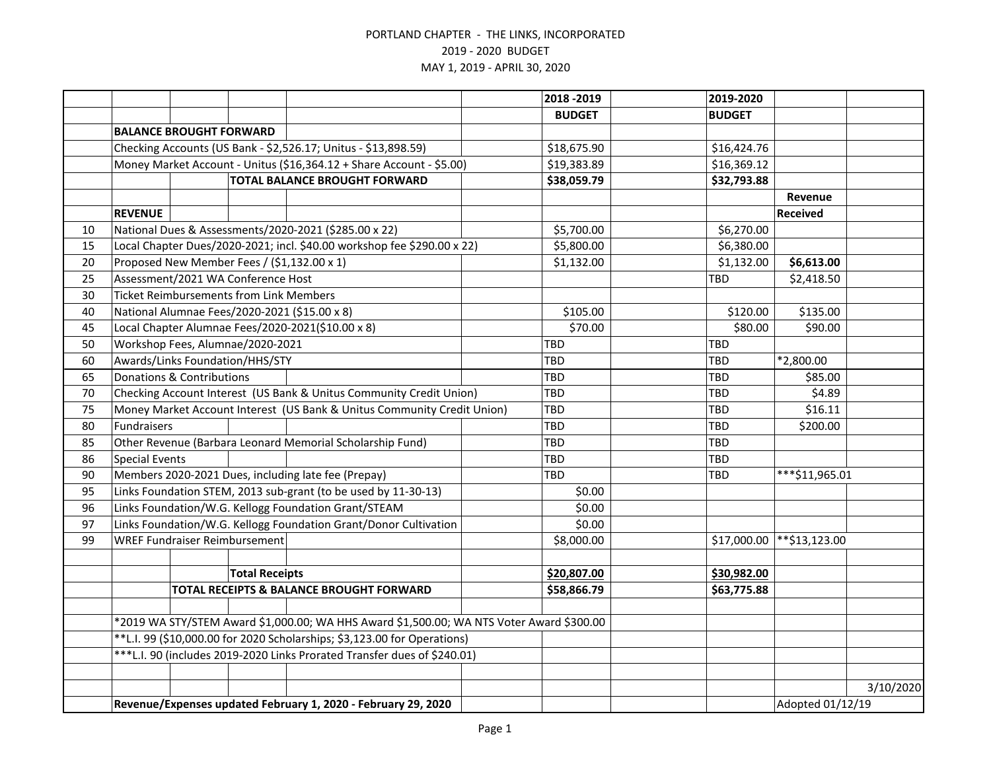|    |                                                                                                                                                                                                                                                  |                                                |                       |                                                                         |  | 2018 - 2019   | 2019-2020     |                  |           |
|----|--------------------------------------------------------------------------------------------------------------------------------------------------------------------------------------------------------------------------------------------------|------------------------------------------------|-----------------------|-------------------------------------------------------------------------|--|---------------|---------------|------------------|-----------|
|    |                                                                                                                                                                                                                                                  |                                                |                       |                                                                         |  | <b>BUDGET</b> | <b>BUDGET</b> |                  |           |
|    |                                                                                                                                                                                                                                                  | <b>BALANCE BROUGHT FORWARD</b>                 |                       |                                                                         |  |               |               |                  |           |
|    |                                                                                                                                                                                                                                                  |                                                |                       | Checking Accounts (US Bank - \$2,526.17; Unitus - \$13,898.59)          |  | \$18,675.90   | \$16,424.76   |                  |           |
|    |                                                                                                                                                                                                                                                  |                                                |                       | Money Market Account - Unitus (\$16,364.12 + Share Account - \$5.00)    |  | \$19,383.89   | \$16,369.12   |                  |           |
|    |                                                                                                                                                                                                                                                  |                                                |                       | <b>TOTAL BALANCE BROUGHT FORWARD</b>                                    |  | \$38,059.79   | \$32,793.88   |                  |           |
|    |                                                                                                                                                                                                                                                  |                                                |                       |                                                                         |  |               |               | Revenue          |           |
|    | <b>REVENUE</b>                                                                                                                                                                                                                                   |                                                |                       |                                                                         |  |               |               | Received         |           |
| 10 |                                                                                                                                                                                                                                                  |                                                |                       | National Dues & Assessments/2020-2021 (\$285.00 x 22)                   |  | \$5,700.00    | \$6,270.00    |                  |           |
| 15 |                                                                                                                                                                                                                                                  |                                                |                       | Local Chapter Dues/2020-2021; incl. \$40.00 workshop fee \$290.00 x 22) |  | \$5,800.00    | \$6,380.00    |                  |           |
| 20 |                                                                                                                                                                                                                                                  |                                                |                       | Proposed New Member Fees / (\$1,132.00 x 1)                             |  | \$1,132.00    | \$1,132.00    | \$6,613.00       |           |
| 25 |                                                                                                                                                                                                                                                  | Assessment/2021 WA Conference Host             |                       |                                                                         |  |               | <b>TBD</b>    | \$2,418.50       |           |
| 30 |                                                                                                                                                                                                                                                  | <b>Ticket Reimbursements from Link Members</b> |                       |                                                                         |  |               |               |                  |           |
| 40 |                                                                                                                                                                                                                                                  |                                                |                       | National Alumnae Fees/2020-2021 (\$15.00 x 8)                           |  | \$105.00      | \$120.00      | \$135.00         |           |
| 45 |                                                                                                                                                                                                                                                  |                                                |                       | Local Chapter Alumnae Fees/2020-2021(\$10.00 x 8)                       |  | \$70.00       | \$80.00       | \$90.00          |           |
| 50 |                                                                                                                                                                                                                                                  | Workshop Fees, Alumnae/2020-2021               |                       |                                                                         |  | TBD           | TBD           |                  |           |
| 60 |                                                                                                                                                                                                                                                  | Awards/Links Foundation/HHS/STY                |                       |                                                                         |  | <b>TBD</b>    | TBD           | *2,800.00        |           |
| 65 | Donations & Contributions                                                                                                                                                                                                                        |                                                |                       |                                                                         |  | TBD           | <b>TBD</b>    | \$85.00          |           |
| 70 | Checking Account Interest (US Bank & Unitus Community Credit Union)                                                                                                                                                                              |                                                |                       |                                                                         |  | TBD           | TBD           | \$4.89           |           |
| 75 |                                                                                                                                                                                                                                                  |                                                |                       | Money Market Account Interest (US Bank & Unitus Community Credit Union) |  | TBD           | <b>TBD</b>    | \$16.11          |           |
| 80 | Fundraisers                                                                                                                                                                                                                                      |                                                |                       |                                                                         |  | TBD           | TBD           | \$200.00         |           |
| 85 |                                                                                                                                                                                                                                                  |                                                |                       | Other Revenue (Barbara Leonard Memorial Scholarship Fund)               |  | TBD           | <b>TBD</b>    |                  |           |
| 86 | <b>Special Events</b>                                                                                                                                                                                                                            |                                                |                       |                                                                         |  | TBD           | TBD           |                  |           |
| 90 |                                                                                                                                                                                                                                                  |                                                |                       | Members 2020-2021 Dues, including late fee (Prepay)                     |  | TBD           | TBD           | ***\$11,965.01   |           |
| 95 |                                                                                                                                                                                                                                                  |                                                |                       | Links Foundation STEM, 2013 sub-grant (to be used by 11-30-13)          |  | \$0.00        |               |                  |           |
| 96 |                                                                                                                                                                                                                                                  |                                                |                       | Links Foundation/W.G. Kellogg Foundation Grant/STEAM                    |  | \$0.00        |               |                  |           |
| 97 |                                                                                                                                                                                                                                                  |                                                |                       | Links Foundation/W.G. Kellogg Foundation Grant/Donor Cultivation        |  | \$0.00        |               |                  |           |
| 99 |                                                                                                                                                                                                                                                  | <b>WREF Fundraiser Reimbursement</b>           |                       |                                                                         |  | \$8,000.00    | \$17,000.00   | **\$13,123.00    |           |
|    |                                                                                                                                                                                                                                                  |                                                |                       |                                                                         |  |               |               |                  |           |
|    |                                                                                                                                                                                                                                                  |                                                | <b>Total Receipts</b> |                                                                         |  | \$20,807.00   | \$30,982.00   |                  |           |
|    |                                                                                                                                                                                                                                                  |                                                |                       | TOTAL RECEIPTS & BALANCE BROUGHT FORWARD                                |  | \$58,866.79   | \$63,775.88   |                  |           |
|    |                                                                                                                                                                                                                                                  |                                                |                       |                                                                         |  |               |               |                  |           |
|    | *2019 WA STY/STEM Award \$1,000.00; WA HHS Award \$1,500.00; WA NTS Voter Award \$300.00<br>**L.I. 99 (\$10,000.00 for 2020 Scholarships; \$3,123.00 for Operations)<br>***L.I. 90 (includes 2019-2020 Links Prorated Transfer dues of \$240.01) |                                                |                       |                                                                         |  |               |               |                  |           |
|    |                                                                                                                                                                                                                                                  |                                                |                       |                                                                         |  |               |               |                  |           |
|    |                                                                                                                                                                                                                                                  |                                                |                       |                                                                         |  |               |               |                  |           |
|    |                                                                                                                                                                                                                                                  |                                                |                       |                                                                         |  |               |               |                  |           |
|    |                                                                                                                                                                                                                                                  |                                                |                       |                                                                         |  |               |               |                  | 3/10/2020 |
|    | Revenue/Expenses updated February 1, 2020 - February 29, 2020                                                                                                                                                                                    |                                                |                       |                                                                         |  |               |               | Adopted 01/12/19 |           |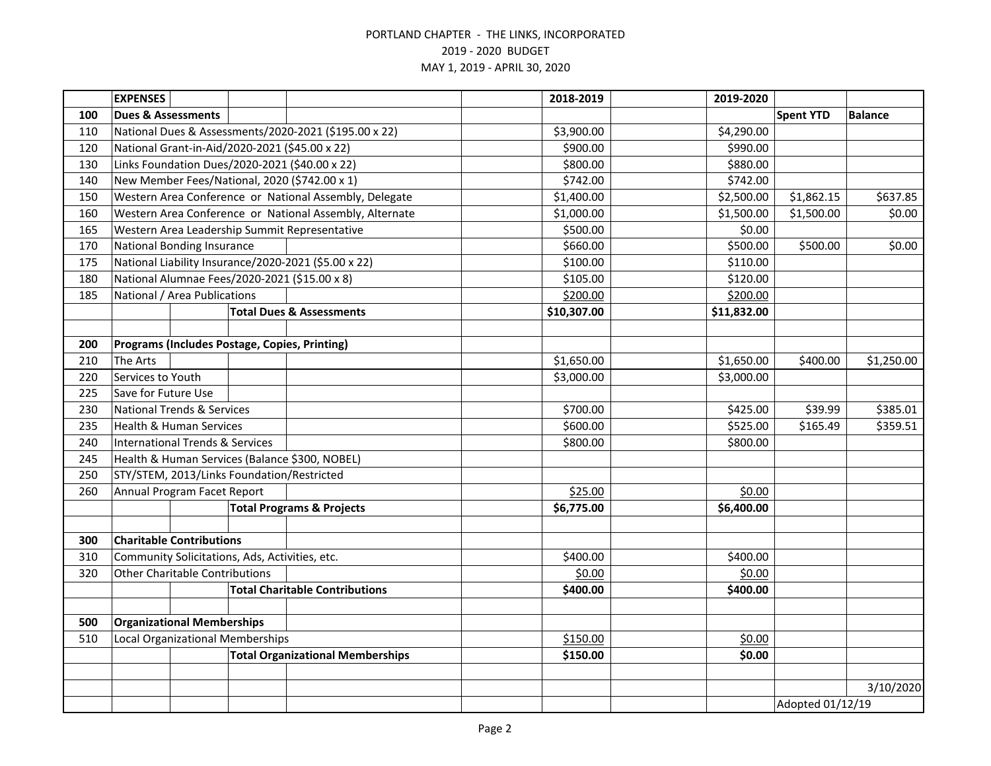|     | <b>EXPENSES</b>                                       |  |                                         |                                                         | 2018-2019   | 2019-2020        |                  |                |
|-----|-------------------------------------------------------|--|-----------------------------------------|---------------------------------------------------------|-------------|------------------|------------------|----------------|
| 100 | <b>Dues &amp; Assessments</b>                         |  |                                         |                                                         |             |                  | <b>Spent YTD</b> | <b>Balance</b> |
| 110 | National Dues & Assessments/2020-2021 (\$195.00 x 22) |  |                                         |                                                         | \$3,900.00  | \$4,290.00       |                  |                |
| 120 |                                                       |  |                                         | National Grant-in-Aid/2020-2021 (\$45.00 x 22)          | \$900.00    | \$990.00         |                  |                |
| 130 |                                                       |  |                                         | Links Foundation Dues/2020-2021 (\$40.00 x 22)          | \$800.00    | \$880.00         |                  |                |
| 140 |                                                       |  |                                         | New Member Fees/National, 2020 (\$742.00 x 1)           | \$742.00    | \$742.00         |                  |                |
| 150 |                                                       |  |                                         | Western Area Conference or National Assembly, Delegate  | \$1,400.00  | \$2,500.00       | \$1,862.15       | \$637.85       |
| 160 |                                                       |  |                                         | Western Area Conference or National Assembly, Alternate | \$1,000.00  | \$1,500.00       | \$1,500.00       | \$0.00         |
| 165 |                                                       |  |                                         | Western Area Leadership Summit Representative           | \$500.00    | \$0.00           |                  |                |
| 170 | <b>National Bonding Insurance</b>                     |  |                                         |                                                         | \$660.00    | \$500.00         | \$500.00         | \$0.00         |
| 175 |                                                       |  |                                         | National Liability Insurance/2020-2021 (\$5.00 x 22)    | \$100.00    | \$110.00         |                  |                |
| 180 |                                                       |  |                                         | National Alumnae Fees/2020-2021 (\$15.00 x 8)           | \$105.00    | \$120.00         |                  |                |
| 185 | National / Area Publications                          |  |                                         |                                                         | \$200.00    | \$200.00         |                  |                |
|     |                                                       |  |                                         | <b>Total Dues &amp; Assessments</b>                     | \$10,307.00 | \$11,832.00      |                  |                |
|     |                                                       |  |                                         |                                                         |             |                  |                  |                |
| 200 |                                                       |  |                                         | Programs (Includes Postage, Copies, Printing)           |             |                  |                  |                |
| 210 | <b>The Arts</b>                                       |  |                                         |                                                         | \$1,650.00  | \$1,650.00       | \$400.00         | \$1,250.00     |
| 220 | Services to Youth                                     |  |                                         |                                                         | \$3,000.00  | \$3,000.00       |                  |                |
| 225 | Save for Future Use                                   |  |                                         |                                                         |             |                  |                  |                |
| 230 | <b>National Trends &amp; Services</b>                 |  |                                         |                                                         | \$700.00    | \$425.00         | \$39.99          | \$385.01       |
| 235 | <b>Health &amp; Human Services</b>                    |  |                                         |                                                         | \$600.00    | \$525.00         | \$165.49         | \$359.51       |
| 240 | <b>International Trends &amp; Services</b>            |  |                                         |                                                         | \$800.00    | \$800.00         |                  |                |
| 245 |                                                       |  |                                         | Health & Human Services (Balance \$300, NOBEL)          |             |                  |                  |                |
| 250 | STY/STEM, 2013/Links Foundation/Restricted            |  |                                         |                                                         |             |                  |                  |                |
| 260 | Annual Program Facet Report                           |  |                                         |                                                         | \$25.00     | \$0.00           |                  |                |
|     |                                                       |  |                                         | <b>Total Programs &amp; Projects</b>                    | \$6,775.00  | \$6,400.00       |                  |                |
|     |                                                       |  |                                         |                                                         |             |                  |                  |                |
| 300 | <b>Charitable Contributions</b>                       |  |                                         |                                                         |             |                  |                  |                |
| 310 | Community Solicitations, Ads, Activities, etc.        |  |                                         |                                                         | \$400.00    | \$400.00         |                  |                |
| 320 | <b>Other Charitable Contributions</b>                 |  |                                         |                                                         | \$0.00      | \$0.00           |                  |                |
|     |                                                       |  |                                         | <b>Total Charitable Contributions</b>                   | \$400.00    | \$400.00         |                  |                |
|     |                                                       |  |                                         |                                                         |             |                  |                  |                |
| 500 | <b>Organizational Memberships</b>                     |  |                                         |                                                         |             |                  |                  |                |
| 510 | <b>Local Organizational Memberships</b>               |  |                                         |                                                         | \$150.00    | \$0.00           |                  |                |
|     |                                                       |  | <b>Total Organizational Memberships</b> | \$150.00                                                | \$0.00      |                  |                  |                |
|     |                                                       |  |                                         |                                                         |             |                  |                  | 3/10/2020      |
|     |                                                       |  |                                         |                                                         |             | Adopted 01/12/19 |                  |                |
|     |                                                       |  |                                         |                                                         |             |                  |                  |                |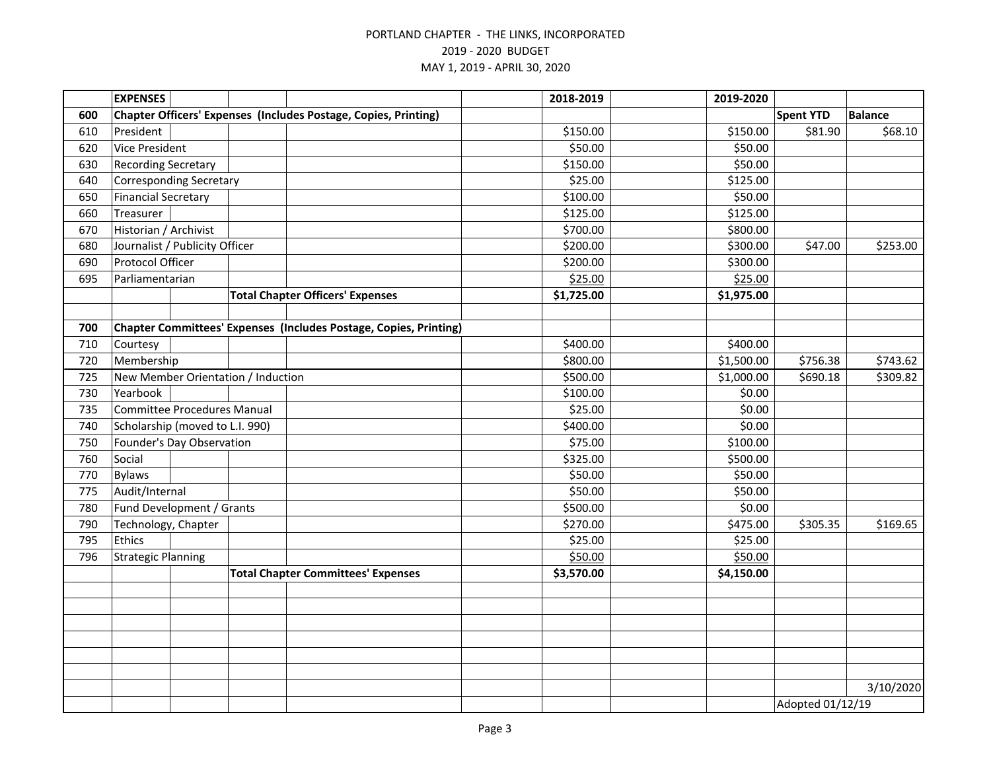|     | <b>EXPENSES</b>                    |  |                                                                        | 2018-2019  | 2019-2020  |                  |                |
|-----|------------------------------------|--|------------------------------------------------------------------------|------------|------------|------------------|----------------|
| 600 |                                    |  | <b>Chapter Officers' Expenses (Includes Postage, Copies, Printing)</b> |            |            | <b>Spent YTD</b> | <b>Balance</b> |
| 610 | President                          |  |                                                                        | \$150.00   | \$150.00   | \$81.90          | \$68.10        |
| 620 | Vice President                     |  |                                                                        | \$50.00    | \$50.00    |                  |                |
| 630 | <b>Recording Secretary</b>         |  |                                                                        | \$150.00   | \$50.00    |                  |                |
| 640 | <b>Corresponding Secretary</b>     |  |                                                                        | \$25.00    | \$125.00   |                  |                |
| 650 | <b>Financial Secretary</b>         |  |                                                                        | \$100.00   | \$50.00    |                  |                |
| 660 | Treasurer                          |  |                                                                        | \$125.00   | \$125.00   |                  |                |
| 670 | Historian / Archivist              |  |                                                                        | \$700.00   | \$800.00   |                  |                |
| 680 | Journalist / Publicity Officer     |  |                                                                        | \$200.00   | \$300.00   | \$47.00          | \$253.00       |
| 690 | Protocol Officer                   |  |                                                                        | \$200.00   | \$300.00   |                  |                |
| 695 | Parliamentarian                    |  |                                                                        | \$25.00    | \$25.00    |                  |                |
|     |                                    |  | <b>Total Chapter Officers' Expenses</b>                                | \$1,725.00 | \$1,975.00 |                  |                |
|     |                                    |  |                                                                        |            |            |                  |                |
| 700 |                                    |  | Chapter Committees' Expenses (Includes Postage, Copies, Printing)      |            |            |                  |                |
| 710 | Courtesy                           |  |                                                                        | \$400.00   | \$400.00   |                  |                |
| 720 | Membership                         |  |                                                                        | \$800.00   | \$1,500.00 | \$756.38         | \$743.62       |
| 725 |                                    |  | New Member Orientation / Induction                                     | \$500.00   | \$1,000.00 | \$690.18         | \$309.82       |
| 730 | Yearbook                           |  |                                                                        | \$100.00   | \$0.00     |                  |                |
| 735 | <b>Committee Procedures Manual</b> |  |                                                                        | \$25.00    | \$0.00     |                  |                |
| 740 | Scholarship (moved to L.I. 990)    |  |                                                                        | \$400.00   | \$0.00     |                  |                |
| 750 | Founder's Day Observation          |  |                                                                        | \$75.00    | \$100.00   |                  |                |
| 760 | Social                             |  |                                                                        | \$325.00   | \$500.00   |                  |                |
| 770 | <b>Bylaws</b>                      |  |                                                                        | \$50.00    | \$50.00    |                  |                |
| 775 | Audit/Internal                     |  |                                                                        | \$50.00    | \$50.00    |                  |                |
| 780 | Fund Development / Grants          |  |                                                                        | \$500.00   | \$0.00     |                  |                |
| 790 | Technology, Chapter                |  |                                                                        | \$270.00   | \$475.00   | \$305.35         | \$169.65       |
| 795 | Ethics                             |  |                                                                        | \$25.00    | \$25.00    |                  |                |
| 796 | <b>Strategic Planning</b>          |  |                                                                        | \$50.00    | \$50.00    |                  |                |
|     |                                    |  | <b>Total Chapter Committees' Expenses</b>                              | \$3,570.00 | \$4,150.00 |                  |                |
|     |                                    |  |                                                                        |            |            |                  |                |
|     |                                    |  |                                                                        |            |            |                  |                |
|     |                                    |  |                                                                        |            |            |                  |                |
|     |                                    |  |                                                                        |            |            |                  |                |
|     |                                    |  |                                                                        |            |            |                  |                |
|     |                                    |  |                                                                        |            |            |                  |                |
|     |                                    |  |                                                                        |            |            |                  | 3/10/2020      |
|     |                                    |  |                                                                        |            |            | Adopted 01/12/19 |                |